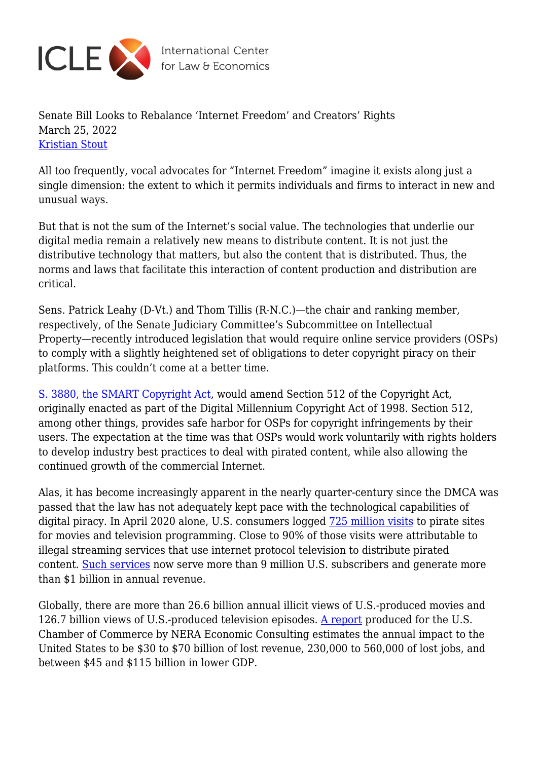

International Center<br>for Law & Economics

Senate Bill Looks to Rebalance 'Internet Freedom' and Creators' Rights March 25, 2022 [Kristian Stout](https://laweconcenter.org/author/kristian/)

All too frequently, vocal advocates for "Internet Freedom" imagine it exists along just a single dimension: the extent to which it permits individuals and firms to interact in new and unusual ways.

But that is not the sum of the Internet's social value. The technologies that underlie our digital media remain a relatively new means to distribute content. It is not just the distributive technology that matters, but also the content that is distributed. Thus, the norms and laws that facilitate this interaction of content production and distribution are critical.

Sens. Patrick Leahy (D-Vt.) and Thom Tillis (R-N.C.)—the chair and ranking member, respectively, of the Senate Judiciary Committee's Subcommittee on Intellectual Property—recently introduced legislation that would require online service providers (OSPs) to comply with a slightly heightened set of obligations to deter copyright piracy on their platforms. This couldn't come at a better time.

[S. 3880, the SMART Copyright Act](https://www.congress.gov/bill/117th-congress/senate-bill/3880), would amend Section 512 of the Copyright Act, originally enacted as part of the Digital Millennium Copyright Act of 1998. Section 512, among other things, provides safe harbor for OSPs for copyright infringements by their users. The expectation at the time was that OSPs would work voluntarily with rights holders to develop industry best practices to deal with pirated content, while also allowing the continued growth of the commercial Internet.

Alas, it has become increasingly apparent in the nearly quarter-century since the DMCA was passed that the law has not adequately kept pace with the technological capabilities of digital piracy. In April 2020 alone, U.S. consumers logged  $\frac{725}{125}$  million visits to pirate sites for movies and television programming. Close to 90% of those visits were attributable to illegal streaming services that use internet protocol television to distribute pirated content. [Such services](https://www.digitalcitizensalliance.org/news/press-releases-2020/pirate-subscription-services-now-a-billion-dollar-u.s.-industry-joint-digital-citizens-alliance-nagra-report-finds/) now serve more than 9 million U.S. subscribers and generate more than \$1 billion in annual revenue.

Globally, there are more than 26.6 billion annual illicit views of U.S.-produced movies and 126.7 billion views of U.S.-produced television episodes. [A report](https://www.theglobalipcenter.com/wp-content/uploads/2019/06/Digital-Video-Piracy.pdf) produced for the U.S. Chamber of Commerce by NERA Economic Consulting estimates the annual impact to the United States to be \$30 to \$70 billion of lost revenue, 230,000 to 560,000 of lost jobs, and between \$45 and \$115 billion in lower GDP.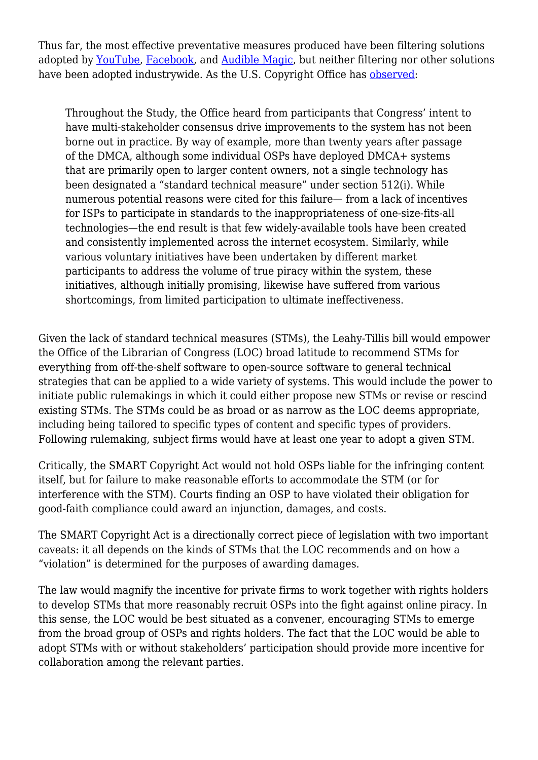Thus far, the most effective preventative measures produced have been filtering solutions adopted by [YouTube,](https://support.google.com/youtube/answer/2797370?hl=en) [Facebook,](https://rightsmanager.fb.com/) and [Audible Magic](https://www.audiblemagic.com/), but neither filtering nor other solutions have been adopted industrywide. As the U.S. Copyright Office has [observed](https://www.copyright.gov/policy/section512/section-512-full-report.pdf):

Throughout the Study, the Office heard from participants that Congress' intent to have multi-stakeholder consensus drive improvements to the system has not been borne out in practice. By way of example, more than twenty years after passage of the DMCA, although some individual OSPs have deployed DMCA+ systems that are primarily open to larger content owners, not a single technology has been designated a "standard technical measure" under section 512(i). While numerous potential reasons were cited for this failure— from a lack of incentives for ISPs to participate in standards to the inappropriateness of one-size-fits-all technologies—the end result is that few widely-available tools have been created and consistently implemented across the internet ecosystem. Similarly, while various voluntary initiatives have been undertaken by different market participants to address the volume of true piracy within the system, these initiatives, although initially promising, likewise have suffered from various shortcomings, from limited participation to ultimate ineffectiveness.

Given the lack of standard technical measures (STMs), the Leahy-Tillis bill would empower the Office of the Librarian of Congress (LOC) broad latitude to recommend STMs for everything from off-the-shelf software to open-source software to general technical strategies that can be applied to a wide variety of systems. This would include the power to initiate public rulemakings in which it could either propose new STMs or revise or rescind existing STMs. The STMs could be as broad or as narrow as the LOC deems appropriate, including being tailored to specific types of content and specific types of providers. Following rulemaking, subject firms would have at least one year to adopt a given STM.

Critically, the SMART Copyright Act would not hold OSPs liable for the infringing content itself, but for failure to make reasonable efforts to accommodate the STM (or for interference with the STM). Courts finding an OSP to have violated their obligation for good-faith compliance could award an injunction, damages, and costs.

The SMART Copyright Act is a directionally correct piece of legislation with two important caveats: it all depends on the kinds of STMs that the LOC recommends and on how a "violation" is determined for the purposes of awarding damages.

The law would magnify the incentive for private firms to work together with rights holders to develop STMs that more reasonably recruit OSPs into the fight against online piracy. In this sense, the LOC would be best situated as a convener, encouraging STMs to emerge from the broad group of OSPs and rights holders. The fact that the LOC would be able to adopt STMs with or without stakeholders' participation should provide more incentive for collaboration among the relevant parties.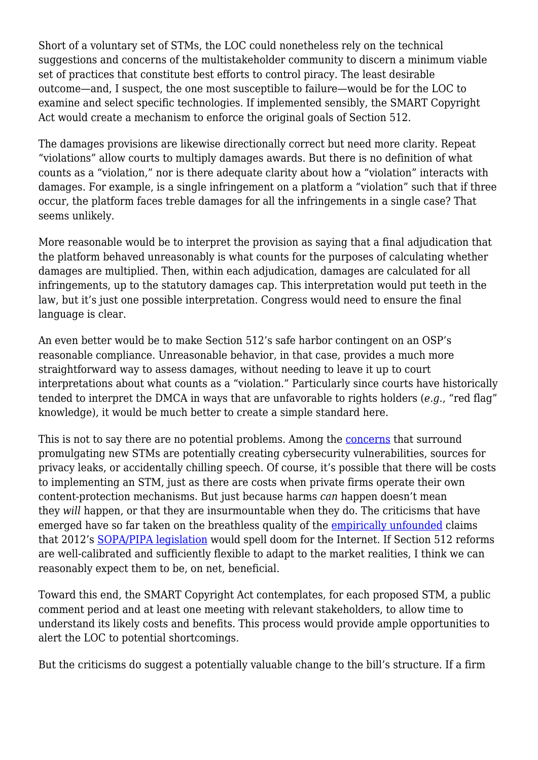Short of a voluntary set of STMs, the LOC could nonetheless rely on the technical suggestions and concerns of the multistakeholder community to discern a minimum viable set of practices that constitute best efforts to control piracy. The least desirable outcome—and, I suspect, the one most susceptible to failure—would be for the LOC to examine and select specific technologies. If implemented sensibly, the SMART Copyright Act would create a mechanism to enforce the original goals of Section 512.

The damages provisions are likewise directionally correct but need more clarity. Repeat "violations" allow courts to multiply damages awards. But there is no definition of what counts as a "violation," nor is there adequate clarity about how a "violation" interacts with damages. For example, is a single infringement on a platform a "violation" such that if three occur, the platform faces treble damages for all the infringements in a single case? That seems unlikely.

More reasonable would be to interpret the provision as saying that a final adjudication that the platform behaved unreasonably is what counts for the purposes of calculating whether damages are multiplied. Then, within each adjudication, damages are calculated for all infringements, up to the statutory damages cap. This interpretation would put teeth in the law, but it's just one possible interpretation. Congress would need to ensure the final language is clear.

An even better would be to make Section 512's safe harbor contingent on an OSP's reasonable compliance. Unreasonable behavior, in that case, provides a much more straightforward way to assess damages, without needing to leave it up to court interpretations about what counts as a "violation." Particularly since courts have historically tended to interpret the DMCA in ways that are unfavorable to rights holders (*e.g.*, "red flag" knowledge), it would be much better to create a simple standard here.

This is not to say there are no potential problems. Among the [concerns](https://www.recreatecoalition.org/press_release/recreate-statement-on-dangerous-technical-mandate-and-filtering-bill-s-3880/) that surround promulgating new STMs are potentially creating cybersecurity vulnerabilities, sources for privacy leaks, or accidentally chilling speech. Of course, it's possible that there will be costs to implementing an STM, just as there are costs when private firms operate their own content-protection mechanisms. But just because harms *can* happen doesn't mean they *will* happen, or that they are insurmountable when they do. The criticisms that have emerged have so far taken on the breathless quality of the *empirically unfounded* claims that 2012's [SOPA/PIPA legislation](https://en.wikipedia.org/wiki/Protests_against_SOPA_and_PIPA) would spell doom for the Internet. If Section 512 reforms are well-calibrated and sufficiently flexible to adapt to the market realities, I think we can reasonably expect them to be, on net, beneficial.

Toward this end, the SMART Copyright Act contemplates, for each proposed STM, a public comment period and at least one meeting with relevant stakeholders, to allow time to understand its likely costs and benefits. This process would provide ample opportunities to alert the LOC to potential shortcomings.

But the criticisms do suggest a potentially valuable change to the bill's structure. If a firm